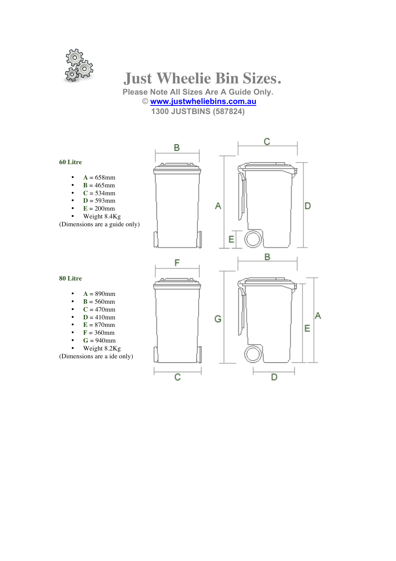

# **Just Wheelie Bin Sizes.**

**Please Note All Sizes Are A Guide Only.**

## © **www.justwheliebins.com.au**

**1300 JUSTBINS (587824)**

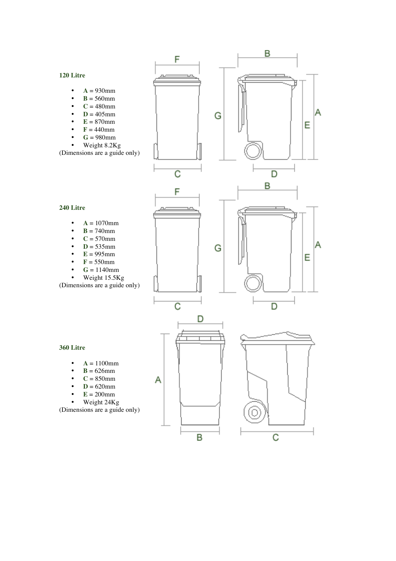#### **120 Litre**

**240 Litre** 

- $\bullet$  **A** = 930mm
- $\mathbf{B} = 560$ mm
- $C = 480$ mm
- $D = 405$ mm
- $E = 870$ mm
- **<br>•**  $**G** = 980mm$
- $G = 980$ mm<br>• Weight 8.2K
- Weight 8.2Kg

(Dimensions are a guide only)



B

 $\overline{C}$ 

#### **360 Litre**

- $A = 1100$ mm<br>•  $B = 626$ mm
- $B = 626$ mm
- $\bullet$  **C** = 850mm
- $\bullet$  **D** = 620mm
- $E = 200$ mm
- Weight 24Kg

(Dimensions are a guide only)